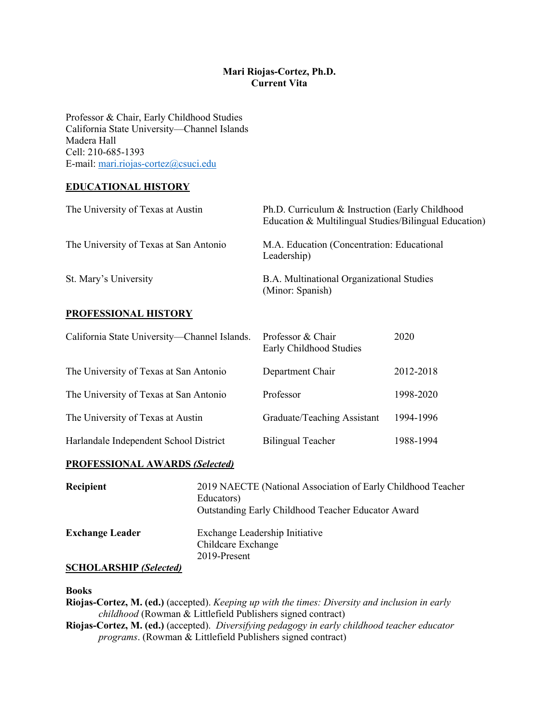### **Mari Riojas-Cortez, Ph.D. Current Vita**

Professor & Chair, Early Childhood Studies California State University—Channel Islands Madera Hall Cell: 210-685-1393 E-mail: mari.riojas-cortez@csuci.edu

# **EDUCATIONAL HISTORY**

| The University of Texas at Austin      | Ph.D. Curriculum & Instruction (Early Childhood)<br>Education & Multilingual Studies/Bilingual Education) |
|----------------------------------------|-----------------------------------------------------------------------------------------------------------|
| The University of Texas at San Antonio | M.A. Education (Concentration: Educational<br>Leadership)                                                 |
| St. Mary's University                  | B.A. Multinational Organizational Studies<br>(Minor: Spanish)                                             |

## **PROFESSIONAL HISTORY**

| California State University-Channel Islands. | Professor & Chair<br>Early Childhood Studies | 2020      |
|----------------------------------------------|----------------------------------------------|-----------|
| The University of Texas at San Antonio       | Department Chair                             | 2012-2018 |
| The University of Texas at San Antonio       | Professor                                    | 1998-2020 |
| The University of Texas at Austin            | Graduate/Teaching Assistant                  | 1994-1996 |
| Harlandale Independent School District       | <b>Bilingual Teacher</b>                     | 1988-1994 |

### **PROFESSIONAL AWARDS** *(Selected)*

| Recipient                     | 2019 NAECTE (National Association of Early Childhood Teacher |
|-------------------------------|--------------------------------------------------------------|
|                               | Educators)                                                   |
|                               | Outstanding Early Childhood Teacher Educator Award           |
| <b>Exchange Leader</b>        | Exchange Leadership Initiative                               |
|                               | Childcare Exchange                                           |
|                               | 2019-Present                                                 |
| <b>SCHOLARSHIP</b> (Selected) |                                                              |

#### **Books**

**Riojas-Cortez, M. (ed.)** (accepted). *Keeping up with the times: Diversity and inclusion in early childhood* (Rowman & Littlefield Publishers signed contract) **Riojas-Cortez, M. (ed.)** (accepted). *Diversifying pedagogy in early childhood teacher educator programs*. (Rowman & Littlefield Publishers signed contract)